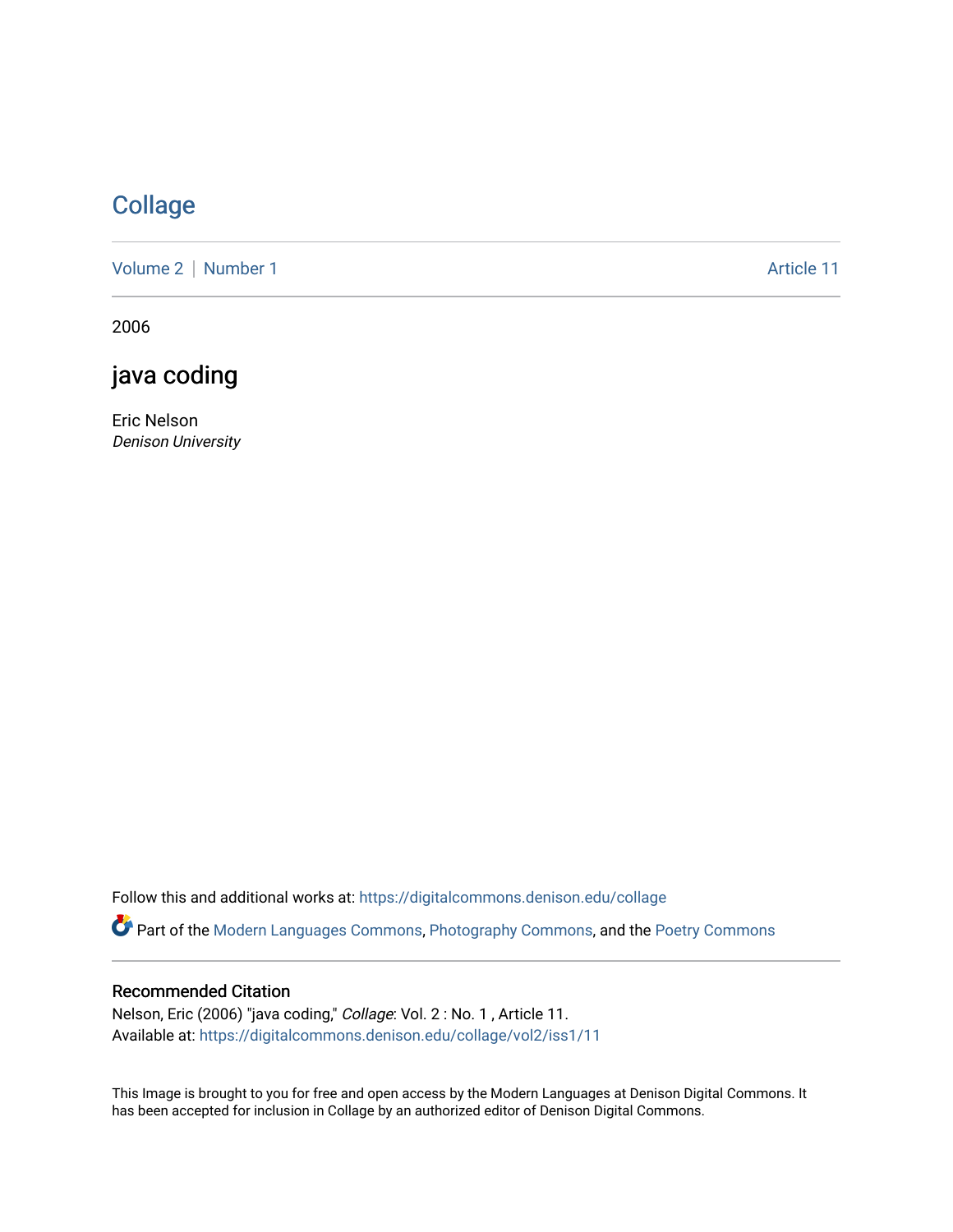## **[Collage](https://digitalcommons.denison.edu/collage)**

[Volume 2](https://digitalcommons.denison.edu/collage/vol2) | [Number 1](https://digitalcommons.denison.edu/collage/vol2/iss1) Article 11

2006

java coding

Eric Nelson Denison University

Follow this and additional works at: [https://digitalcommons.denison.edu/collage](https://digitalcommons.denison.edu/collage?utm_source=digitalcommons.denison.edu%2Fcollage%2Fvol2%2Fiss1%2F11&utm_medium=PDF&utm_campaign=PDFCoverPages) 

Part of the [Modern Languages Commons,](http://network.bepress.com/hgg/discipline/1130?utm_source=digitalcommons.denison.edu%2Fcollage%2Fvol2%2Fiss1%2F11&utm_medium=PDF&utm_campaign=PDFCoverPages) [Photography Commons](http://network.bepress.com/hgg/discipline/1142?utm_source=digitalcommons.denison.edu%2Fcollage%2Fvol2%2Fiss1%2F11&utm_medium=PDF&utm_campaign=PDFCoverPages), and the [Poetry Commons](http://network.bepress.com/hgg/discipline/1153?utm_source=digitalcommons.denison.edu%2Fcollage%2Fvol2%2Fiss1%2F11&utm_medium=PDF&utm_campaign=PDFCoverPages)

## Recommended Citation

Nelson, Eric (2006) "java coding," Collage: Vol. 2 : No. 1 , Article 11. Available at: [https://digitalcommons.denison.edu/collage/vol2/iss1/11](https://digitalcommons.denison.edu/collage/vol2/iss1/11?utm_source=digitalcommons.denison.edu%2Fcollage%2Fvol2%2Fiss1%2F11&utm_medium=PDF&utm_campaign=PDFCoverPages)

This Image is brought to you for free and open access by the Modern Languages at Denison Digital Commons. It has been accepted for inclusion in Collage by an authorized editor of Denison Digital Commons.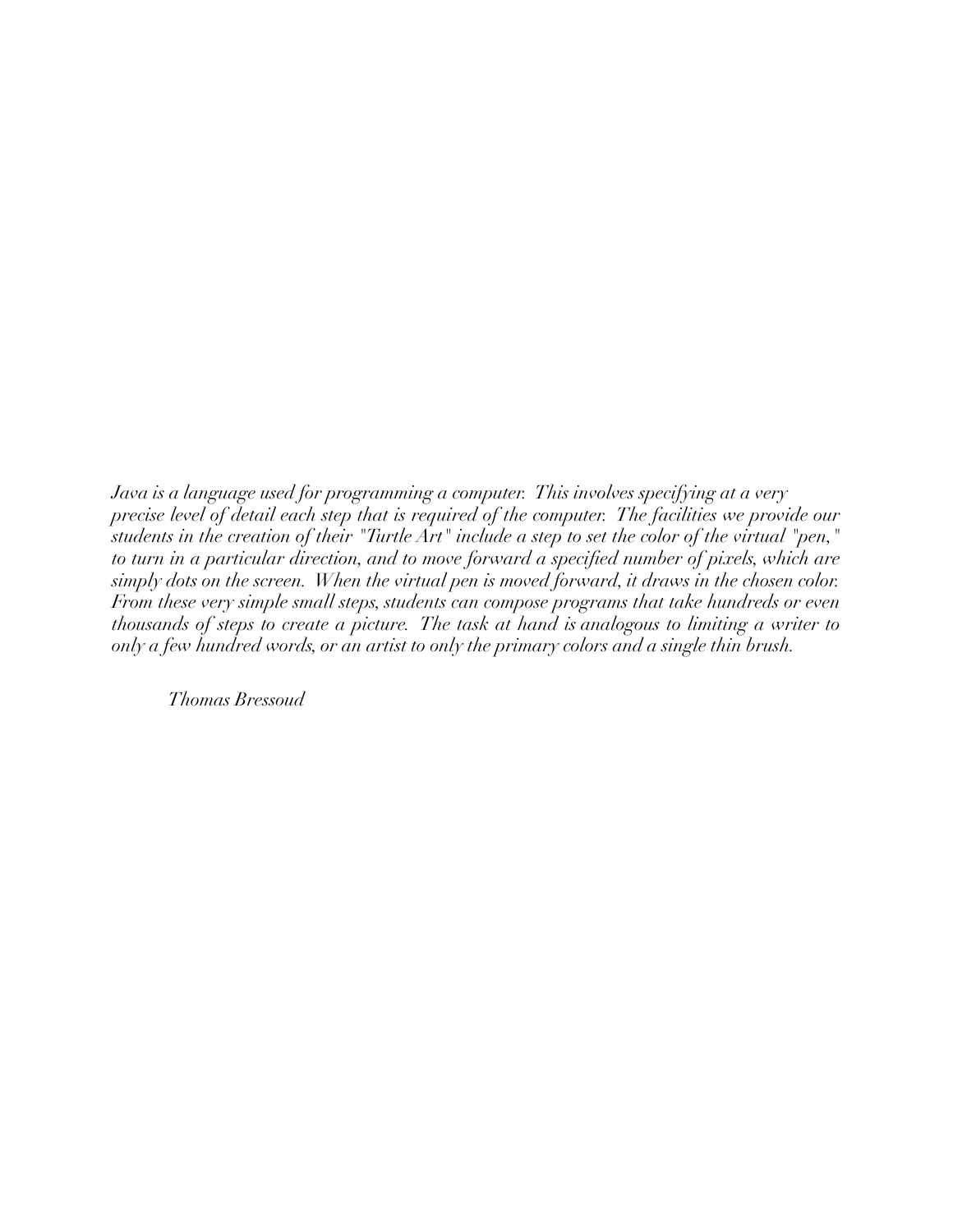*Java is a language used for programming a computer. This involves specifying at a very precise level of detail each step that is required of the computer. The facilities we provide our*  students in the creation of their "Turtle Art" include a step to set the color of the virtual "pen," *to turn in a particular direction, and to move forward a specified number of pixels, which are simply dots on the screen. When the virtual pen is moved forward, it draws in the chosen color. From these very simple small steps, students can compose programs that take hundreds or even thousands of steps to create a picture. The task at hand is analogous to limiting a writer to only a few hundred words, or an artist to only the primary colors and a single thin brush.*

*Thomas Bressoud*